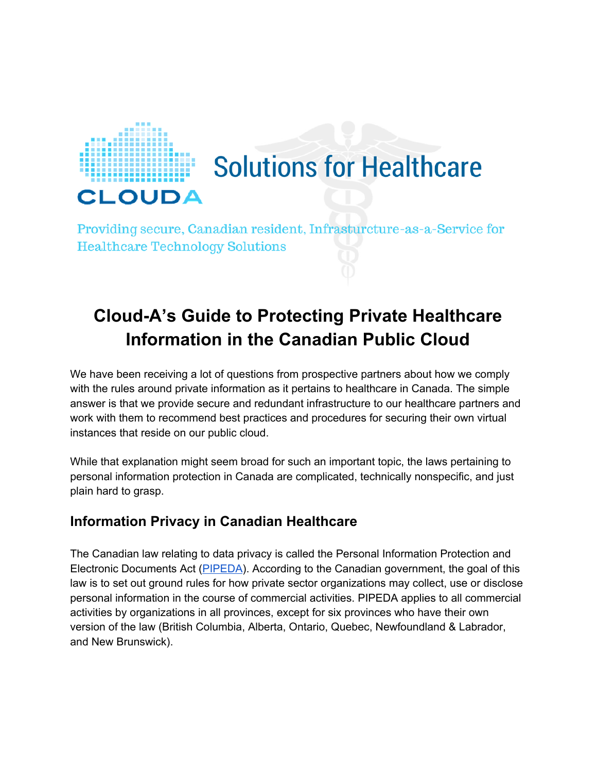

# **Solutions for Healthcare**

Providing secure, Canadian resident, Infrasturcture-as-a-Service for **Healthcare Technology Solutions** 

# **CloudA's Guide to Protecting Private Healthcare Information in the Canadian Public Cloud**

We have been receiving a lot of questions from prospective partners about how we comply with the rules around private information as it pertains to healthcare in Canada. The simple answer is that we provide secure and redundant infrastructure to our healthcare partners and work with them to recommend best practices and procedures for securing their own virtual instances that reside on our public cloud.

While that explanation might seem broad for such an important topic, the laws pertaining to personal information protection in Canada are complicated, technically nonspecific, and just plain hard to grasp.

# **Information Privacy in Canadian Healthcare**

The Canadian law relating to data privacy is called the Personal Information Protection and Electronic Documents Act [\(PIPEDA\)](https://www.priv.gc.ca/leg_c/leg_c_p_e.asp). According to the Canadian government, the goal of this law is to set out ground rules for how private sector organizations may collect, use or disclose personal information in the course of commercial activities. PIPEDA applies to all commercial activities by organizations in all provinces, except for six provinces who have their own version of the law (British Columbia, Alberta, Ontario, Quebec, Newfoundland & Labrador, and New Brunswick).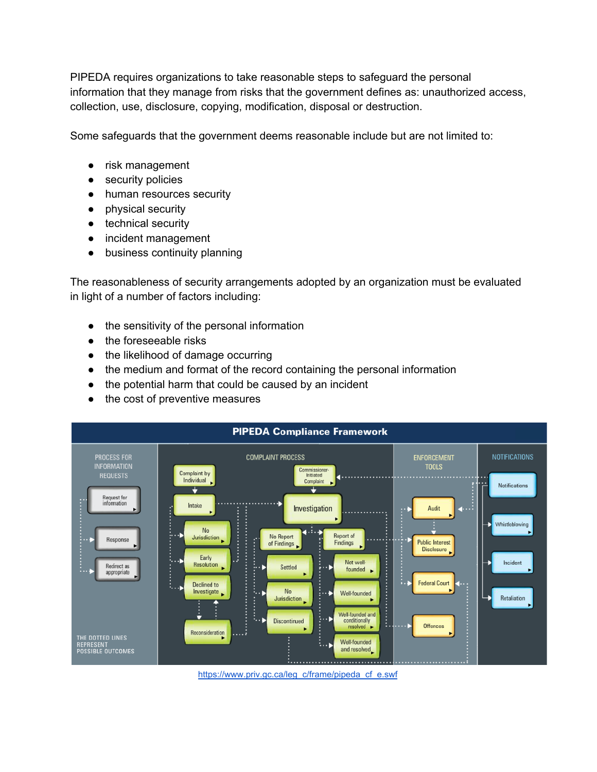PIPEDA requires organizations to take reasonable steps to safeguard the personal information that they manage from risks that the government defines as: unauthorized access, collection, use, disclosure, copying, modification, disposal or destruction.

Some safeguards that the government deems reasonable include but are not limited to:

- risk management
- security policies
- human resources security
- physical security
- technical security
- incident management
- business continuity planning

The reasonableness of security arrangements adopted by an organization must be evaluated in light of a number of factors including:

- the sensitivity of the personal information
- the foreseeable risks
- the likelihood of damage occurring
- the medium and format of the record containing the personal information
- the potential harm that could be caused by an incident
- the cost of preventive measures



[https://www.priv.gc.ca/leg\\_c/frame/pipeda\\_cf\\_e.swf](https://www.priv.gc.ca/leg_c/frame/pipeda_cf_e.swf)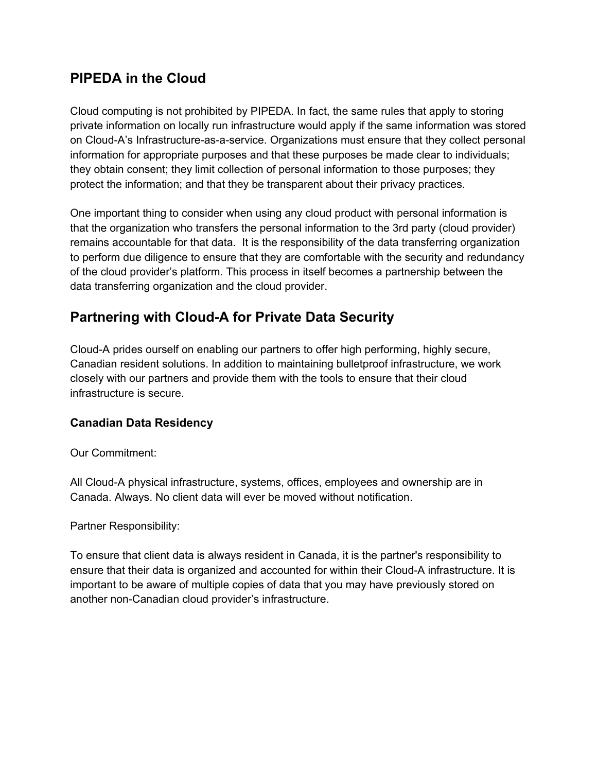# **PIPEDA in the Cloud**

Cloud computing is not prohibited by PIPEDA. In fact, the same rules that apply to storing private information on locally run infrastructure would apply if the same information was stored on Cloud-A's Infrastructure-as-a-service. Organizations must ensure that they collect personal information for appropriate purposes and that these purposes be made clear to individuals; they obtain consent; they limit collection of personal information to those purposes; they protect the information; and that they be transparent about their privacy practices.

One important thing to consider when using any cloud product with personal information is that the organization who transfers the personal information to the 3rd party (cloud provider) remains accountable for that data. It is the responsibility of the data transferring organization to perform due diligence to ensure that they are comfortable with the security and redundancy of the cloud provider's platform. This process in itself becomes a partnership between the data transferring organization and the cloud provider.

# **Partnering with Cloud-A for Private Data Security**

Cloud-A prides ourself on enabling our partners to offer high performing, highly secure, Canadian resident solutions. In addition to maintaining bulletproof infrastructure, we work closely with our partners and provide them with the tools to ensure that their cloud infrastructure is secure.

#### **Canadian Data Residency**

Our Commitment:

All Cloud-A physical infrastructure, systems, offices, employees and ownership are in Canada. Always. No client data will ever be moved without notification.

Partner Responsibility:

To ensure that client data is always resident in Canada, it is the partner's responsibility to ensure that their data is organized and accounted for within their Cloud-A infrastructure. It is important to be aware of multiple copies of data that you may have previously stored on another non-Canadian cloud provider's infrastructure.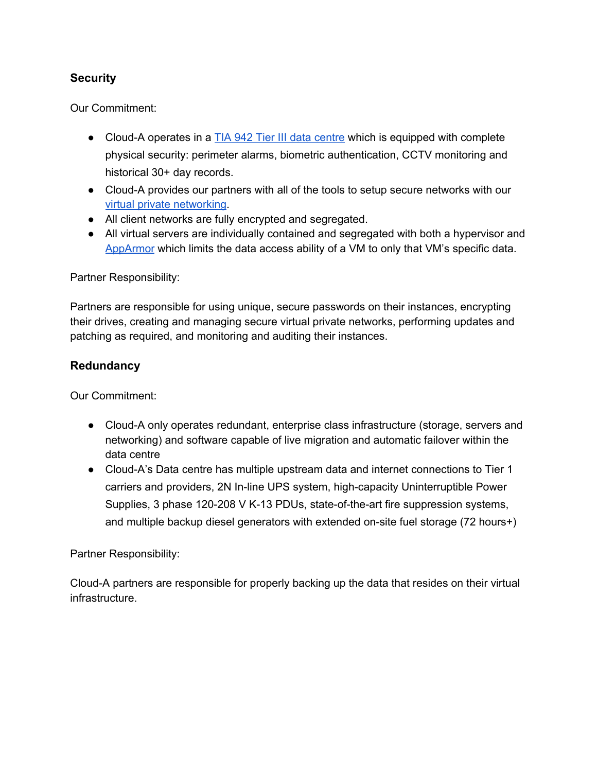#### **Security**

Our Commitment:

- Cloud-A operates in a  $\underline{TIA 942}$  Tier III data [centre](https://www.clouda.ca/data-centre/) which is equipped with complete physical security: perimeter alarms, biometric authentication, CCTV monitoring and historical 30+ day records.
- Cloud-A provides our partners with all of the tools to setup secure networks with our virtual private [networking](https://www.clouda.ca/technology/vpc-virtual-private-cloud/).
- All client networks are fully encrypted and segregated.
- All virtual servers are individually contained and segregated with both a hypervisor and [AppArmor](http://wiki.apparmor.net/index.php/Main_Page) which limits the data access ability of a VM to only that VM's specific data.

Partner Responsibility:

Partners are responsible for using unique, secure passwords on their instances, encrypting their drives, creating and managing secure virtual private networks, performing updates and patching as required, and monitoring and auditing their instances.

#### **Redundancy**

Our Commitment:

- Cloud-A only operates redundant, enterprise class infrastructure (storage, servers and networking) and software capable of live migration and automatic failover within the data centre
- CloudA's Data centre has multiple upstream data and internet connections to Tier 1 carriers and providers, 2N In-line UPS system, high-capacity Uninterruptible Power Supplies, 3 phase 120-208 V K-13 PDUs, state-of-the-art fire suppression systems, and multiple backup diesel generators with extended on-site fuel storage (72 hours+)

Partner Responsibility:

Cloud-A partners are responsible for properly backing up the data that resides on their virtual infrastructure.